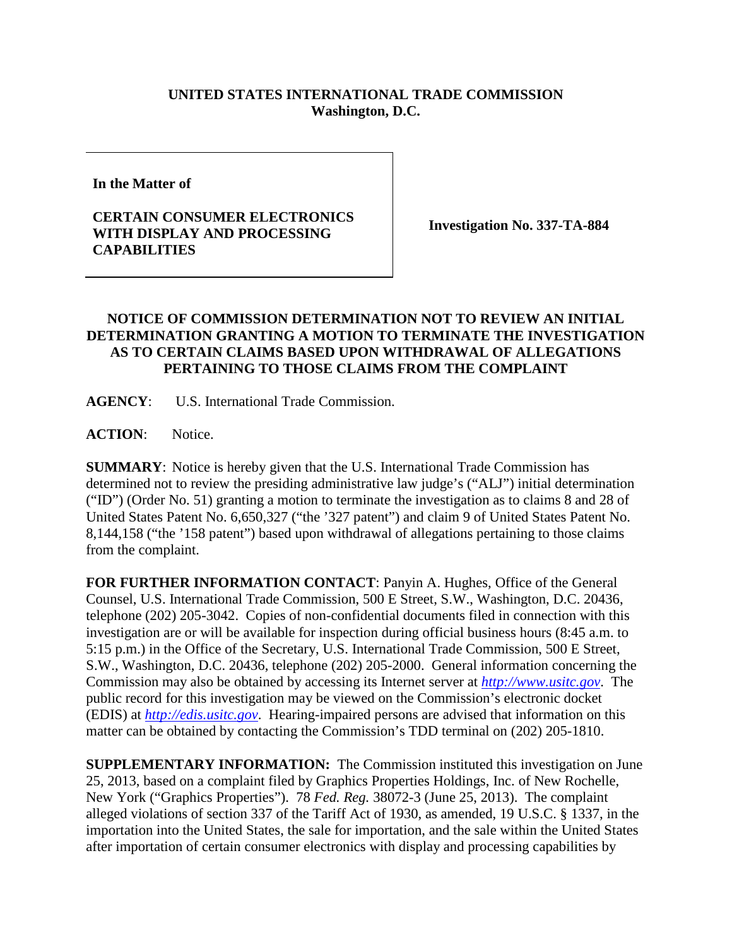## **UNITED STATES INTERNATIONAL TRADE COMMISSION Washington, D.C.**

**In the Matter of** 

## **CERTAIN CONSUMER ELECTRONICS WITH DISPLAY AND PROCESSING CAPABILITIES**

**Investigation No. 337-TA-884**

## **NOTICE OF COMMISSION DETERMINATION NOT TO REVIEW AN INITIAL DETERMINATION GRANTING A MOTION TO TERMINATE THE INVESTIGATION AS TO CERTAIN CLAIMS BASED UPON WITHDRAWAL OF ALLEGATIONS PERTAINING TO THOSE CLAIMS FROM THE COMPLAINT**

**AGENCY**: U.S. International Trade Commission.

ACTION: Notice.

**SUMMARY**: Notice is hereby given that the U.S. International Trade Commission has determined not to review the presiding administrative law judge's ("ALJ") initial determination ("ID") (Order No. 51) granting a motion to terminate the investigation as to claims 8 and 28 of United States Patent No. 6,650,327 ("the '327 patent") and claim 9 of United States Patent No. 8,144,158 ("the '158 patent") based upon withdrawal of allegations pertaining to those claims from the complaint.

**FOR FURTHER INFORMATION CONTACT**: Panyin A. Hughes, Office of the General Counsel, U.S. International Trade Commission, 500 E Street, S.W., Washington, D.C. 20436, telephone (202) 205-3042. Copies of non-confidential documents filed in connection with this investigation are or will be available for inspection during official business hours (8:45 a.m. to 5:15 p.m.) in the Office of the Secretary, U.S. International Trade Commission, 500 E Street, S.W., Washington, D.C. 20436, telephone (202) 205-2000. General information concerning the Commission may also be obtained by accessing its Internet server at *[http://www.usitc.gov](http://www.usitc.gov/)*. The public record for this investigation may be viewed on the Commission's electronic docket (EDIS) at *[http://edis.usitc.gov](http://edis.usitc.gov/)*. Hearing-impaired persons are advised that information on this matter can be obtained by contacting the Commission's TDD terminal on (202) 205-1810.

**SUPPLEMENTARY INFORMATION:** The Commission instituted this investigation on June 25, 2013, based on a complaint filed by Graphics Properties Holdings, Inc. of New Rochelle, New York ("Graphics Properties"). 78 *Fed. Reg.* 38072-3 (June 25, 2013). The complaint alleged violations of section 337 of the Tariff Act of 1930, as amended, 19 U.S.C. § 1337, in the importation into the United States, the sale for importation, and the sale within the United States after importation of certain consumer electronics with display and processing capabilities by